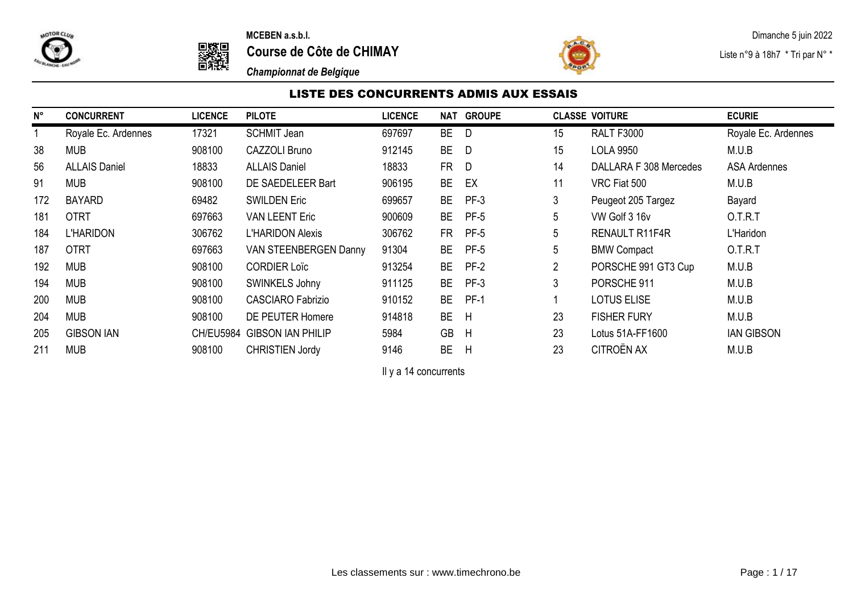



to the cuts of the cuts of the **MCEBEN a.s.b.l.**<br> **to a course de Côte de CHIMAY** and the course of the course of the course of the course of the course of the course of the course of the course of the course of the course **Course de Côte de CHIMAY Course de Côte de CHIMAY Liste n°9 à 18h7** \* Tri par N° \*



*Championnat de Belgique*

# LISTE DES CONCURRENTS ADMIS AUX ESSAIS

| N°  | <b>CONCURRENT</b>    | <b>LICENCE</b> | <b>PILOTE</b>               | <b>LICENCE</b> | NAT       | <b>GROUPE</b> |                | <b>CLASSE VOITURE</b>  | <b>ECURIE</b>       |
|-----|----------------------|----------------|-----------------------------|----------------|-----------|---------------|----------------|------------------------|---------------------|
|     | Royale Ec. Ardennes  | 17321          | <b>SCHMIT Jean</b>          | 697697         | BE        | D             | 15             | <b>RALT F3000</b>      | Royale Ec. Ardennes |
| 38  | <b>MUB</b>           | 908100         | CAZZOLI Bruno               | 912145         | <b>BE</b> | D             | 15             | <b>LOLA 9950</b>       | M.U.B               |
| 56  | <b>ALLAIS Daniel</b> | 18833          | <b>ALLAIS Daniel</b>        | 18833          | FR.       | D             | 14             | DALLARA F 308 Mercedes | <b>ASA Ardennes</b> |
| 91  | <b>MUB</b>           | 908100         | DE SAEDELEER Bart           | 906195         | <b>BE</b> | EX            | 11             | VRC Fiat 500           | M.U.B               |
| 172 | <b>BAYARD</b>        | 69482          | <b>SWILDEN Eric</b>         | 699657         | <b>BE</b> | $PF-3$        | 3              | Peugeot 205 Targez     | Bayard              |
| 181 | <b>OTRT</b>          | 697663         | <b>VAN LEENT Eric</b>       | 900609         | BE        | <b>PF-5</b>   | 5              | VW Golf 3 16v          | O.T.R.T             |
| 184 | L'HARIDON            | 306762         | <b>L'HARIDON Alexis</b>     | 306762         | FR.       | <b>PF-5</b>   | 5              | <b>RENAULT R11F4R</b>  | L'Haridon           |
| 187 | <b>OTRT</b>          | 697663         | VAN STEENBERGEN Danny       | 91304          | BE        | <b>PF-5</b>   | 5              | <b>BMW Compact</b>     | O.T.R.T             |
| 192 | <b>MUB</b>           | 908100         | <b>CORDIER Loïc</b>         | 913254         | BE.       | PF-2          | $\overline{2}$ | PORSCHE 991 GT3 Cup    | M.U.B               |
| 194 | <b>MUB</b>           | 908100         | SWINKELS Johny              | 911125         | BE.       | PF-3          | 3              | PORSCHE 911            | M.U.B               |
| 200 | <b>MUB</b>           | 908100         | <b>CASCIARO Fabrizio</b>    | 910152         | <b>BE</b> | $PF-1$        |                | <b>LOTUS ELISE</b>     | M.U.B               |
| 204 | <b>MUB</b>           | 908100         | DE PEUTER Homere            | 914818         | <b>BE</b> | H             | 23             | <b>FISHER FURY</b>     | M.U.B               |
| 205 | <b>GIBSON IAN</b>    |                | CH/EU5984 GIBSON IAN PHILIP | 5984           | <b>GB</b> | H             | 23             | Lotus 51A-FF1600       | <b>IAN GIBSON</b>   |
| 211 | <b>MUB</b>           | 908100         | <b>CHRISTIEN Jordy</b>      | 9146           | <b>BE</b> | H             | 23             | CITROËN AX             | M.U.B               |

Il y a 14 concurrents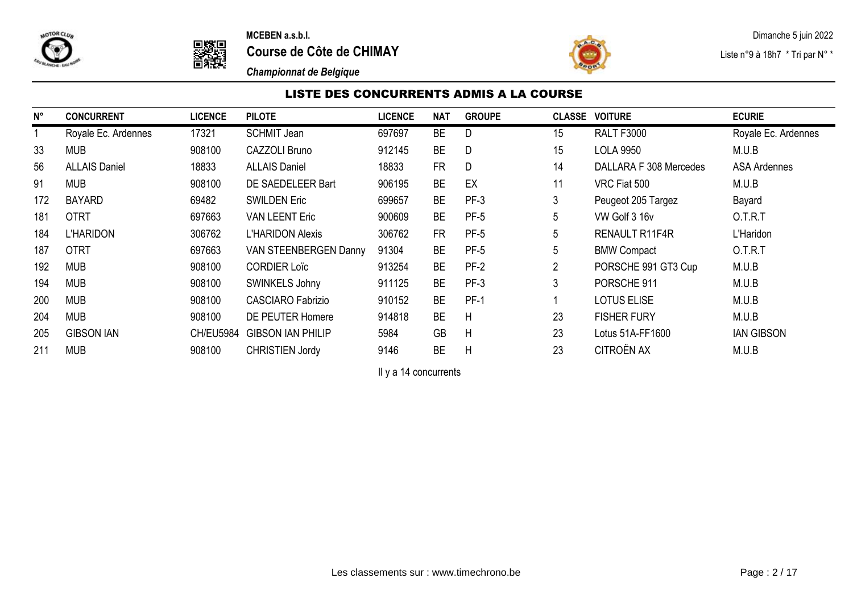



**Course de Côte de CHIMAY Course de Côte de CHIMAY Liste n°9 à 18h7** \* Tri par N° \*



*Championnat de Belgique*

# LISTE DES CONCURRENTS ADMIS A LA COURSE

| N°  | <b>CONCURRENT</b>    | <b>LICENCE</b>   | <b>PILOTE</b>            | <b>LICENCE</b> | <b>NAT</b> | <b>GROUPE</b> |    | <b>CLASSE VOITURE</b>  | <b>ECURIE</b>       |
|-----|----------------------|------------------|--------------------------|----------------|------------|---------------|----|------------------------|---------------------|
|     | Royale Ec. Ardennes  | 17321            | <b>SCHMIT Jean</b>       | 697697         | <b>BE</b>  | D             | 15 | <b>RALT F3000</b>      | Royale Ec. Ardennes |
| 33  | <b>MUB</b>           | 908100           | <b>CAZZOLI Bruno</b>     | 912145         | <b>BE</b>  | D             | 15 | <b>LOLA 9950</b>       | M.U.B               |
| 56  | <b>ALLAIS Daniel</b> | 18833            | <b>ALLAIS Daniel</b>     | 18833          | <b>FR</b>  | D             | 14 | DALLARA F 308 Mercedes | <b>ASA Ardennes</b> |
| 91  | <b>MUB</b>           | 908100           | DE SAEDELEER Bart        | 906195         | <b>BE</b>  | EX            | 11 | VRC Fiat 500           | M.U.B               |
| 172 | <b>BAYARD</b>        | 69482            | <b>SWILDEN Eric</b>      | 699657         | <b>BE</b>  | $PF-3$        | 3  | Peugeot 205 Targez     | Bayard              |
| 181 | <b>OTRT</b>          | 697663           | <b>VAN LEENT Eric</b>    | 900609         | <b>BE</b>  | $PF-5$        | 5  | VW Golf 3 16v          | O.T.R.T             |
| 184 | <b>L'HARIDON</b>     | 306762           | <b>L'HARIDON Alexis</b>  | 306762         | <b>FR</b>  | $PF-5$        | 5  | RENAULT R11F4R         | L'Haridon           |
| 187 | <b>OTRT</b>          | 697663           | VAN STEENBERGEN Danny    | 91304          | <b>BE</b>  | $PF-5$        | 5  | <b>BMW Compact</b>     | O.T.R.T             |
| 192 | <b>MUB</b>           | 908100           | <b>CORDIER Loïc</b>      | 913254         | <b>BE</b>  | $PF-2$        | 2  | PORSCHE 991 GT3 Cup    | M.U.B               |
| 194 | <b>MUB</b>           | 908100           | SWINKELS Johny           | 911125         | <b>BE</b>  | $PF-3$        | 3  | PORSCHE 911            | M.U.B               |
| 200 | <b>MUB</b>           | 908100           | <b>CASCIARO Fabrizio</b> | 910152         | <b>BE</b>  | $PF-1$        |    | <b>LOTUS ELISE</b>     | M.U.B               |
| 204 | <b>MUB</b>           | 908100           | DE PEUTER Homere         | 914818         | <b>BE</b>  | H             | 23 | <b>FISHER FURY</b>     | M.U.B               |
| 205 | <b>GIBSON IAN</b>    | <b>CH/EU5984</b> | <b>GIBSON IAN PHILIP</b> | 5984           | <b>GB</b>  | H             | 23 | Lotus 51A-FF1600       | <b>IAN GIBSON</b>   |
| 211 | <b>MUB</b>           | 908100           | <b>CHRISTIEN Jordy</b>   | 9146           | <b>BE</b>  | H             | 23 | CITROËN AX             | M.U.B               |

Il y a 14 concurrents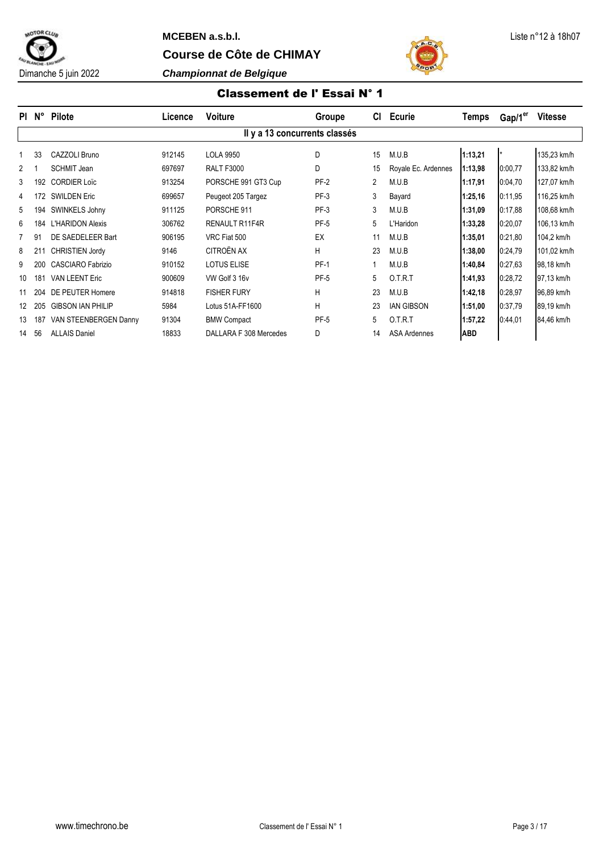



# Classement de l' Essai N° 1

| PI.            | N°  | <b>Pilote</b>            | Licence | <b>Voiture</b>                | Groupe      | СI | Ecurie              | <b>Temps</b> | Gap/1 <sup>er</sup> | <b>Vitesse</b> |
|----------------|-----|--------------------------|---------|-------------------------------|-------------|----|---------------------|--------------|---------------------|----------------|
|                |     |                          |         | Il y a 13 concurrents classés |             |    |                     |              |                     |                |
|                | 33  | CAZZOLI Bruno            | 912145  | <b>LOLA 9950</b>              | D           | 15 | M.U.B               | 1:13,21      | l*                  | 135,23 km/h    |
| $\overline{2}$ |     | <b>SCHMIT Jean</b>       | 697697  | <b>RALT F3000</b>             | D           | 15 | Royale Ec. Ardennes | 1:13,98      | 0:00.77             | 133,82 km/h    |
| 3              | 192 | <b>CORDIER Loïc</b>      | 913254  | PORSCHE 991 GT3 Cup           | $PF-2$      | 2  | M.U.B               | 1:17,91      | 0:04,70             | 127,07 km/h    |
| 4              | 172 | <b>SWILDEN Eric</b>      | 699657  | Peugeot 205 Targez            | PF-3        | 3  | Bayard              | 1:25.16      | 0:11,95             | 116,25 km/h    |
| 5              | 194 | SWINKELS Johny           | 911125  | PORSCHE 911                   | PF-3        | 3  | M.U.B               | 1:31.09      | 0:17,88             | 108,68 km/h    |
| 6              | 184 | <b>L'HARIDON Alexis</b>  | 306762  | <b>RENAULT R11F4R</b>         | PF-5        | 5  | L'Haridon           | 1:33,28      | 0:20,07             | 106,13 km/h    |
|                | 91  | DE SAEDELEER Bart        | 906195  | VRC Fiat 500                  | EX          | 11 | M.U.B               | 1:35,01      | 0:21.80             | 104,2 km/h     |
| 8              | 211 | <b>CHRISTIEN Jordy</b>   | 9146    | CITROËN AX                    | н           | 23 | M.U.B               | 1:38,00      | 0:24.79             | 101,02 km/h    |
| 9              | 200 | <b>CASCIARO Fabrizio</b> | 910152  | <b>LOTUS ELISE</b>            | <b>PF-1</b> |    | M.U.B               | 1:40,84      | 0:27,63             | 98,18 km/h     |
| 10             | 181 | <b>VAN LEENT Eric</b>    | 900609  | VW Golf 3 16v                 | PF-5        | 5  | 0.T.R.T             | 1:41,93      | 0:28,72             | 97,13 km/h     |
|                | 204 | DE PEUTER Homere         | 914818  | <b>FISHER FURY</b>            | н           | 23 | M.U.B               | 1:42,18      | 0:28,97             | 96,89 km/h     |
| 12             | 205 | <b>GIBSON IAN PHILIP</b> | 5984    | Lotus 51A-FF1600              | н           | 23 | <b>IAN GIBSON</b>   | 1:51,00      | 0:37.79             | 89.19 km/h     |
| 13             | 187 | VAN STEENBERGEN Danny    | 91304   | <b>BMW Compact</b>            | PF-5        | 5  | 0.T.R.T             | 1:57,22      | 0.44,01             | 84,46 km/h     |
| 14             | 56  | <b>ALLAIS Daniel</b>     | 18833   | DALLARA F 308 Mercedes        | D           | 14 | <b>ASA Ardennes</b> | <b>ABD</b>   |                     |                |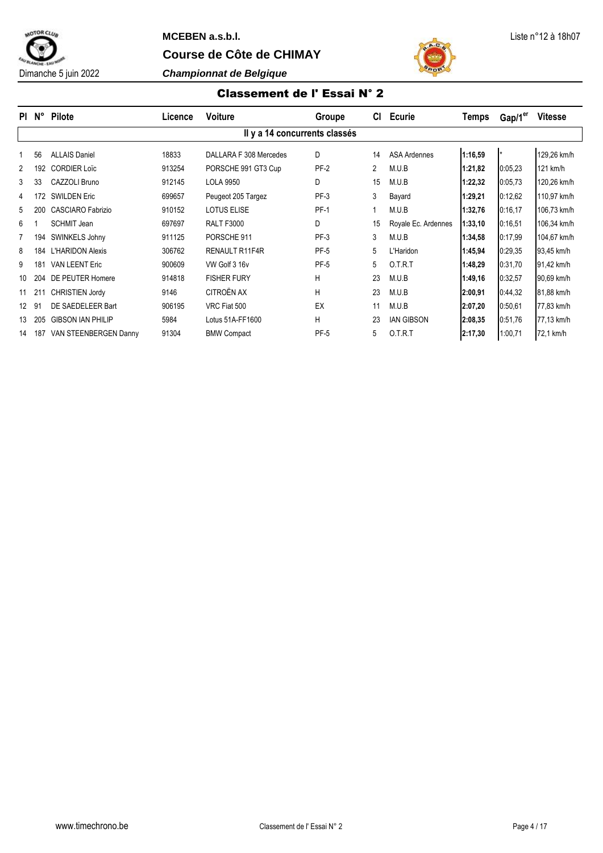





# Classement de l' Essai N° 2

| PI.               | N°  | Pilote                   | Licence | Voiture                       | Groupe      | CI             | <b>Ecurie</b>       | <b>Temps</b> | Gap/1 <sup>er</sup> | <b>Vitesse</b> |
|-------------------|-----|--------------------------|---------|-------------------------------|-------------|----------------|---------------------|--------------|---------------------|----------------|
|                   |     |                          |         | Il y a 14 concurrents classés |             |                |                     |              |                     |                |
|                   | 56  | <b>ALLAIS Daniel</b>     | 18833   | DALLARA F 308 Mercedes        | D           | 14             | <b>ASA Ardennes</b> | 1:16,59      |                     | 129.26 km/h    |
| $\overline{2}$    | 192 | <b>CORDIER Loïc</b>      | 913254  | PORSCHE 991 GT3 Cup           | $PF-2$      | $\overline{2}$ | M.U.B               | 1:21,82      | 0:05.23             | $121$ km/h     |
| 3                 | 33  | CAZZOLI Bruno            | 912145  | <b>LOLA 9950</b>              | D           | 15             | M.U.B               | 1:22,32      | 0:05.73             | 120,26 km/h    |
| 4                 | 172 | <b>SWILDEN Eric</b>      | 699657  | Peugeot 205 Targez            | PF-3        | 3              | Bayard              | 1:29,21      | 0:12,62             | 110,97 km/h    |
| 5                 | 200 | <b>CASCIARO Fabrizio</b> | 910152  | <b>LOTUS ELISE</b>            | <b>PF-1</b> |                | M.U.B               | 1:32,76      | 0:16,17             | 106,73 km/h    |
| 6                 |     | <b>SCHMIT Jean</b>       | 697697  | <b>RALT F3000</b>             | D           | 15             | Royale Ec. Ardennes | 1:33,10      | 0:16.51             | 106,34 km/h    |
|                   | 194 | SWINKELS Johny           | 911125  | PORSCHE 911                   | PF-3        | 3              | M.U.B               | 1:34,58      | 0:17,99             | 104,67 km/h    |
| 8                 | 184 | <b>L'HARIDON Alexis</b>  | 306762  | <b>RENAULT R11F4R</b>         | PF-5        | 5              | L'Haridon           | 1:45,94      | 0:29.35             | 93,45 km/h     |
| 9                 | 181 | <b>VAN LEENT Eric</b>    | 900609  | VW Golf 3 16v                 | PF-5        | 5              | 0.T.R.T             | 1:48,29      | 0:31.70             | 91,42 km/h     |
| 10                | 204 | DE PEUTER Homere         | 914818  | <b>FISHER FURY</b>            | Н           | 23             | M.U.B               | 1:49,16      | 0:32,57             | 90,69 km/h     |
| 11                | 211 | <b>CHRISTIEN Jordy</b>   | 9146    | CITROËN AX                    | Н           | 23             | M.U.B               | 2:00,91      | 0:44,32             | 81,88 km/h     |
| $12 \overline{ }$ | 91  | DE SAEDELEER Bart        | 906195  | VRC Fiat 500                  | EX          | 11             | M.U.B               | 2:07,20      | 0:50,61             | 77.83 km/h     |
| 13                | 205 | <b>GIBSON IAN PHILIP</b> | 5984    | Lotus 51A-FF1600              | Н           | 23             | <b>IAN GIBSON</b>   | 2:08.35      | 0:51,76             | 77,13 km/h     |
| 14                | 187 | VAN STEENBERGEN Danny    | 91304   | <b>BMW Compact</b>            | <b>PF-5</b> | 5              | 0.T.R.T             | 2:17,30      | 1:00,71             | 72,1 km/h      |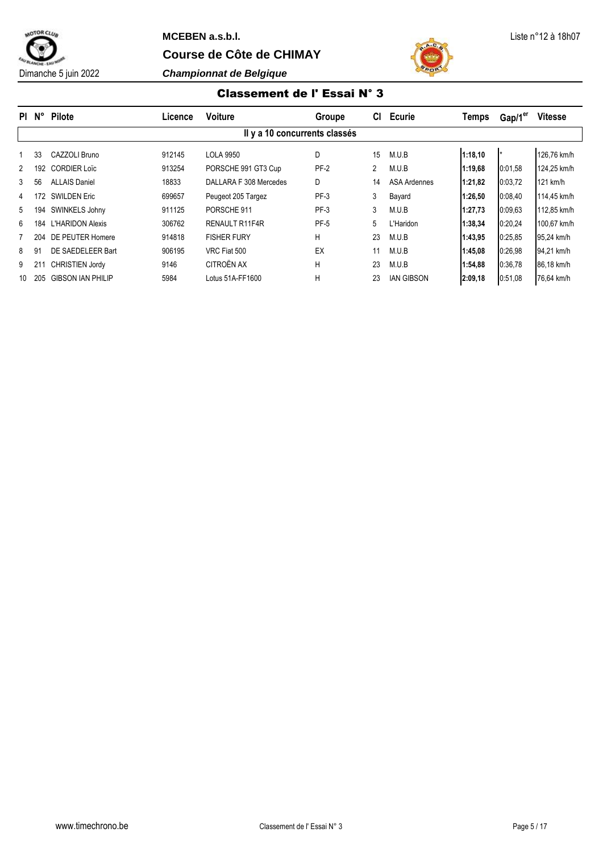



## Classement de l' Essai N° 3

| PI.            | $N^{\circ}$ | <b>Pilote</b>            | Licence | <b>Voiture</b>                | Groupe | <b>CI</b> | <b>Ecurie</b>     | Temps   | Gap/1 <sup>er</sup> | <b>Vitesse</b> |
|----------------|-------------|--------------------------|---------|-------------------------------|--------|-----------|-------------------|---------|---------------------|----------------|
|                |             |                          |         | Il y a 10 concurrents classés |        |           |                   |         |                     |                |
|                | 33          | CAZZOLI Bruno            | 912145  | <b>LOLA 9950</b>              | D      | 15        | M.U.B             | 1:18.10 |                     | 126,76 km/h    |
| $\mathfrak{p}$ | 192         | <b>CORDIER Loïc</b>      | 913254  | PORSCHE 991 GT3 Cup           | $PF-2$ | 2         | M.U.B             | 1:19,68 | 0:01.58             | 124.25 km/h    |
| 3              | 56          | <b>ALLAIS Daniel</b>     | 18833   | DALLARA F 308 Mercedes        | D      | 14        | ASA Ardennes      | 1:21,82 | 0:03.72             | $121$ km/h     |
| 4              | 172         | <b>SWILDEN Eric</b>      | 699657  | Peugeot 205 Targez            | PF-3   | 3         | Bayard            | 1:26.50 | 0:08.40             | 114,45 km/h    |
| 5              | 194         | SWINKELS Johny           | 911125  | PORSCHE 911                   | $PF-3$ | 3         | M.U.B             | 1:27,73 | 0:09.63             | 112.85 km/h    |
| 6              | 184         | <b>L'HARIDON Alexis</b>  | 306762  | RENAULT R11F4R                | PF-5   | 5         | L'Haridon         | 1:38,34 | 0:20,24             | 100.67 km/h    |
|                | 204         | DE PEUTER Homere         | 914818  | <b>FISHER FURY</b>            | H      | 23        | M.U.B             | 1:43,95 | 0:25.85             | 95,24 km/h     |
| 8              | 91          | DE SAEDELEER Bart        | 906195  | VRC Fiat 500                  | EX     |           | M.U.B             | 1:45,08 | 0:26.98             | 94.21 km/h     |
| 9              |             | <b>CHRISTIEN Jordy</b>   | 9146    | CITROËN AX                    | H      | 23        | M.U.B             | 1:54,88 | 0:36,78             | 86,18 km/h     |
| 10             | 205         | <b>GIBSON IAN PHILIP</b> | 5984    | Lotus 51A-FF1600              | н      | 23        | <b>IAN GIBSON</b> | 2:09.18 | 0:51,08             | 76.64 km/h     |
|                |             |                          |         |                               |        |           |                   |         |                     |                |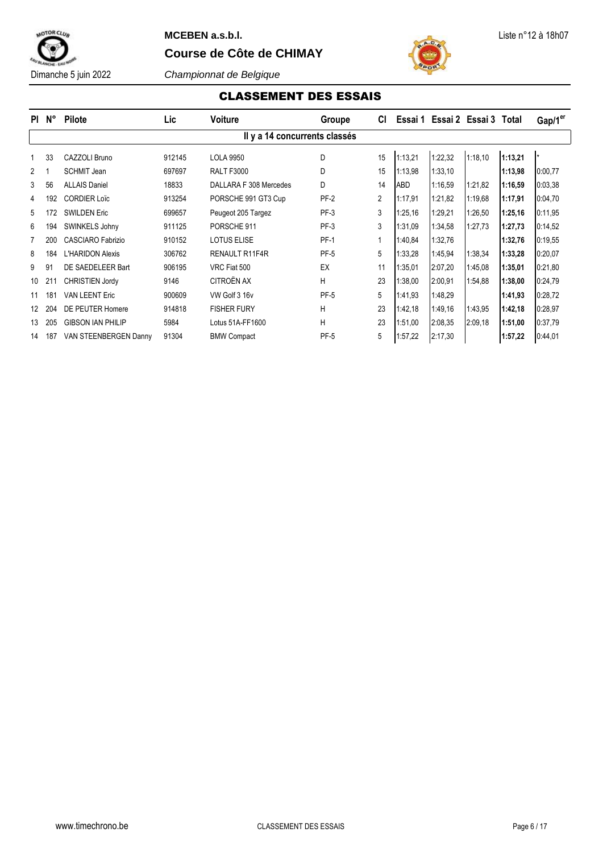

# **MCEBEN a.s.b.l.** Liste n°12 à 18h07

**Course de Côte de CHIMAY**



Dimanche 5 juin 2022 *Championnat de Belgique*

# CLASSEMENT DES ESSAIS

|                | PI N° | <b>Pilote</b>            | Lic    | <b>Voiture</b>                | Groupe      | СI             |         |         | Essai 1 Essai 2 Essai 3 Total |         | Gap/1 <sup>er</sup> |
|----------------|-------|--------------------------|--------|-------------------------------|-------------|----------------|---------|---------|-------------------------------|---------|---------------------|
|                |       |                          |        | Il y a 14 concurrents classés |             |                |         |         |                               |         |                     |
|                | 33    | CAZZOLI Bruno            | 912145 | <b>LOLA 9950</b>              | D           | 15             | 1:13,21 | 1:22,32 | 1:18,10                       | 1:13,21 | l*                  |
| $\overline{2}$ |       | <b>SCHMIT Jean</b>       | 697697 | <b>RALT F3000</b>             | D           | 15             | 1:13,98 | 1:33,10 |                               | 1:13,98 | 0:00.77             |
| 3              | 56    | <b>ALLAIS Daniel</b>     | 18833  | DALLARA F 308 Mercedes        | D           | 14             | ABD     | 1:16,59 | 1:21,82                       | 1:16,59 | 0:03,38             |
| 4              | 192   | <b>CORDIER Loïc</b>      | 913254 | PORSCHE 991 GT3 Cup           | $PF-2$      | $\overline{2}$ | 1:17,91 | 1:21,82 | 1:19,68                       | 1:17,91 | 0:04.70             |
| 5              | 172   | <b>SWILDEN Eric</b>      | 699657 | Peugeot 205 Targez            | $PF-3$      | 3              | 1:25,16 | 1:29,21 | 1:26.50                       | 1:25,16 | 0:11,95             |
| 6              | 194   | SWINKELS Johny           | 911125 | PORSCHE 911                   | $PF-3$      | 3              | 1:31.09 | 1:34,58 | 1:27.73                       | 1:27,73 | 0:14,52             |
|                | 200   | <b>CASCIARO Fabrizio</b> | 910152 | <b>LOTUS ELISE</b>            | <b>PF-1</b> | 1              | 1:40,84 | 1:32,76 |                               | 1:32,76 | 0:19,55             |
| 8              | 184   | L'HARIDON Alexis         | 306762 | RENAULT R11F4R                | <b>PF-5</b> | 5              | 1:33,28 | 1:45,94 | 1:38,34                       | 1:33,28 | 0:20,07             |
| 9              | 91    | DE SAEDELEER Bart        | 906195 | VRC Fiat 500                  | EX          | 11             | 1:35,01 | 2:07,20 | 1:45,08                       | 1:35,01 | 0:21,80             |
| 10             | 211   | <b>CHRISTIEN Jordy</b>   | 9146   | CITROËN AX                    | H           | 23             | 1:38,00 | 2:00,91 | 1:54,88                       | 1:38,00 | 0:24,79             |
| 11             | 181   | <b>VAN LEENT Eric</b>    | 900609 | VW Golf 3 16v                 | <b>PF-5</b> | 5              | 1:41,93 | 1:48,29 |                               | 1:41,93 | 0:28,72             |
| 12             | 204   | DE PEUTER Homere         | 914818 | <b>FISHER FURY</b>            | H           | 23             | 1:42,18 | 1:49,16 | 1:43,95                       | 1:42,18 | 0:28,97             |
| 13             | 205   | <b>GIBSON IAN PHILIP</b> | 5984   | Lotus 51A-FF1600              | H           | 23             | 1:51,00 | 2:08,35 | 2:09.18                       | 1:51,00 | 0:37,79             |
| 14             | 187   | VAN STEENBERGEN Danny    | 91304  | <b>BMW Compact</b>            | <b>PF-5</b> | 5              | 1:57,22 | 2:17,30 |                               | 1:57,22 | 0:44,01             |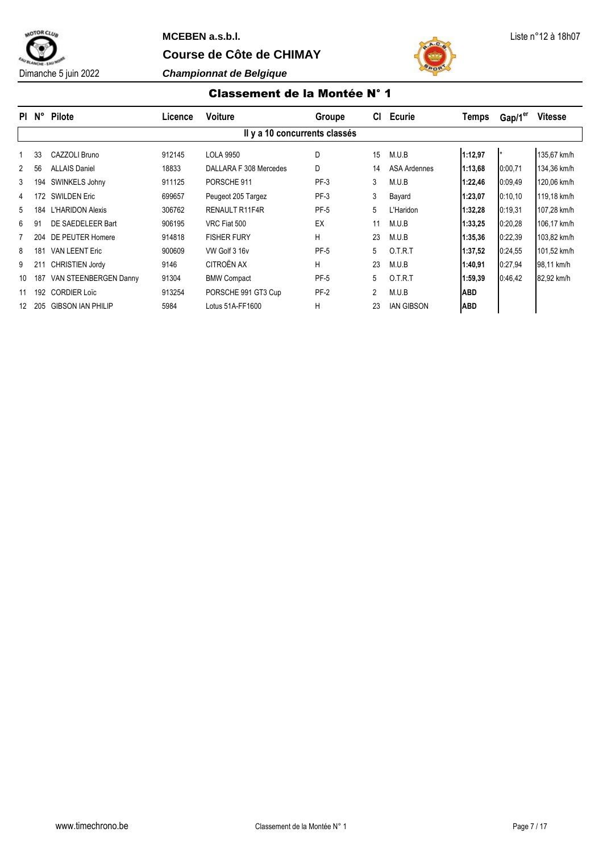



#### Classement de la Montée N° 1

| PI.            | $N^{\circ}$ | <b>Pilote</b>            | Licence | <b>Voiture</b>                | Groupe | СI             | <b>Ecurie</b>       | <b>Temps</b> | Gap/1 <sup>er</sup>  | <b>Vitesse</b> |
|----------------|-------------|--------------------------|---------|-------------------------------|--------|----------------|---------------------|--------------|----------------------|----------------|
|                |             |                          |         | Il y a 10 concurrents classés |        |                |                     |              |                      |                |
|                | 33          | CAZZOLI Bruno            | 912145  | <b>LOLA 9950</b>              | D      | 15             | M.U.B               | 1:12,97      | $\mathbf{I}$ $\star$ | 135.67 km/h    |
| $\overline{2}$ | 56          | <b>ALLAIS Daniel</b>     | 18833   | DALLARA F 308 Mercedes        | D      | 14             | <b>ASA Ardennes</b> | 1:13,68      | 0:00.71              | 134,36 km/h    |
| 3              | 194         | SWINKELS Johny           | 911125  | PORSCHE 911                   | $PF-3$ | 3              | M.U.B               | 1:22,46      | 0:09.49              | 120.06 km/h    |
| 4              | 172         | <b>SWILDEN Eric</b>      | 699657  | Peugeot 205 Targez            | $PF-3$ | 3              | Bayard              | 1:23,07      | 0:10,10              | 119,18 km/h    |
| 5              | 184         | <b>L'HARIDON Alexis</b>  | 306762  | <b>RENAULT R11F4R</b>         | PF-5   | 5              | L'Haridon           | 1:32,28      | 0:19,31              | 107.28 km/h    |
| 6              | 91          | DE SAEDELEER Bart        | 906195  | VRC Fiat 500                  | EX     | 11             | M.U.B               | 1:33,25      | 0:20,28              | 106,17 km/h    |
|                | 204         | DE PEUTER Homere         | 914818  | <b>FISHER FURY</b>            | H      | 23             | M.U.B               | 1:35,36      | 0:22.39              | 103,82 km/h    |
| 8              | 181         | <b>VAN LEENT Eric</b>    | 900609  | VW Golf 3 16v                 | PF-5   | 5              | 0.T.R.T             | 1:37,52      | 0:24,55              | 101.52 km/h    |
| 9              |             | <b>CHRISTIEN Jordy</b>   | 9146    | CITROËN AX                    | н      | 23             | M.U.B               | 1:40,91      | 0:27,94              | 98,11 km/h     |
| 10             | 187         | VAN STEENBERGEN Danny    | 91304   | <b>BMW Compact</b>            | PF-5   | 5              | 0.T.R.T             | 1:59,39      | 0.46,42              | 82,92 km/h     |
| 11             | 192         | <b>CORDIER Loïc</b>      | 913254  | PORSCHE 991 GT3 Cup           | $PF-2$ | $\overline{2}$ | M.U.B               | <b>ABD</b>   |                      |                |
| 12             | 205         | <b>GIBSON IAN PHILIP</b> | 5984    | Lotus 51A-FF1600              | н      | 23             | <b>IAN GIBSON</b>   | <b>ABD</b>   |                      |                |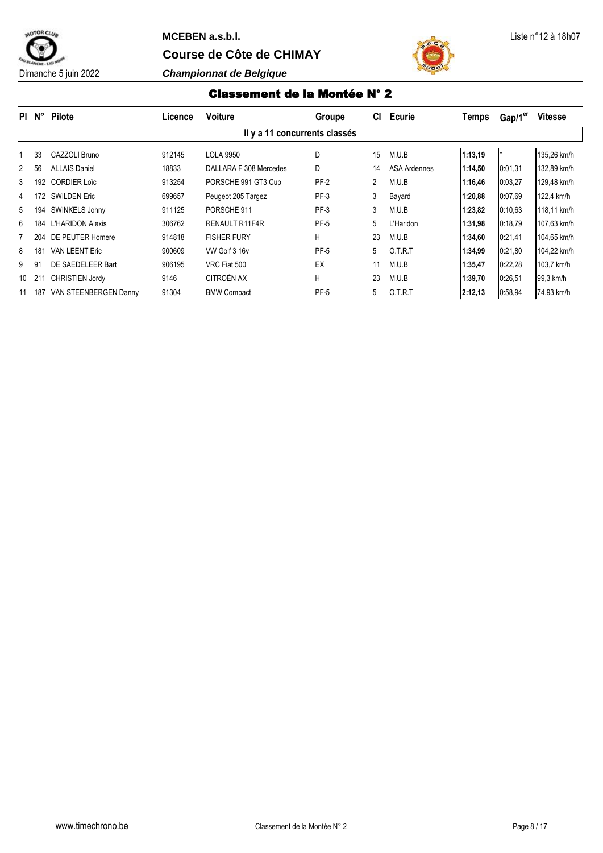

Dimanche 5 juin 2022 *Championnat de Belgique*



#### Classement de la Montée N° 2

| PI.          | $N^{\circ}$ | Pilote                  | Licence | <b>Voiture</b>                | Groupe | CI. | <b>Ecurie</b>       | Temps   | Gap/1 <sup>er</sup> | <b>Vitesse</b> |
|--------------|-------------|-------------------------|---------|-------------------------------|--------|-----|---------------------|---------|---------------------|----------------|
|              |             |                         |         | Il y a 11 concurrents classés |        |     |                     |         |                     |                |
|              | 33          | CAZZOLI Bruno           | 912145  | <b>LOLA 9950</b>              | D      | 15  | M.U.B               | 1:13.19 |                     | 135,26 km/h    |
| $\mathbf{2}$ | 56          | <b>ALLAIS Daniel</b>    | 18833   | DALLARA F 308 Mercedes        | D      | 14  | <b>ASA Ardennes</b> | 1:14,50 | 0:01.31             | 132.89 km/h    |
| 3            | 192         | <b>CORDIER Loïc</b>     | 913254  | PORSCHE 991 GT3 Cup           | $PF-2$ | 2   | M.U.B               | 1:16,46 | 0:03,27             | 129,48 km/h    |
| 4            | 172         | <b>SWILDEN Eric</b>     | 699657  | Peugeot 205 Targez            | PF-3   | 3   | Bayard              | 1:20,88 | 0:07.69             | 122.4 km/h     |
| 5            | 194         | SWINKELS Johny          | 911125  | PORSCHE 911                   | $PF-3$ | 3   | M.U.B               | 1:23,82 | 0:10.63             | 118.11 km/h    |
| 6            | 184         | <b>L'HARIDON Alexis</b> | 306762  | RENAULT R11F4R                | PF-5   | 5   | L'Haridon           | 1:31,98 | 0:18.79             | 107,63 km/h    |
|              | 204         | DE PEUTER Homere        | 914818  | <b>FISHER FURY</b>            | H      | 23  | M.U.B               | 1:34,60 | 0:21,41             | 104,65 km/h    |
| 8            | 181         | <b>VAN LEENT Eric</b>   | 900609  | VW Golf 3 16v                 | PF-5   | 5   | 0.T.R.T             | 1:34,99 | 0:21,80             | 104,22 km/h    |
| 9            | 91          | DE SAEDELEER Bart       | 906195  | VRC Fiat 500                  | EX     | 11  | M.U.B               | 1:35,47 | 0:22.28             | 103,7 km/h     |
| 10           | 211         | <b>CHRISTIEN Jordy</b>  | 9146    | CITROËN AX                    | H      | 23  | M.U.B               | 1:39,70 | 0:26,51             | 99,3 km/h      |
| 11           | 187         | VAN STEENBERGEN Danny   | 91304   | <b>BMW Compact</b>            | PF-5   | 5   | 0.T.R.T             | 2:12.13 | 0:58,94             | 74,93 km/h     |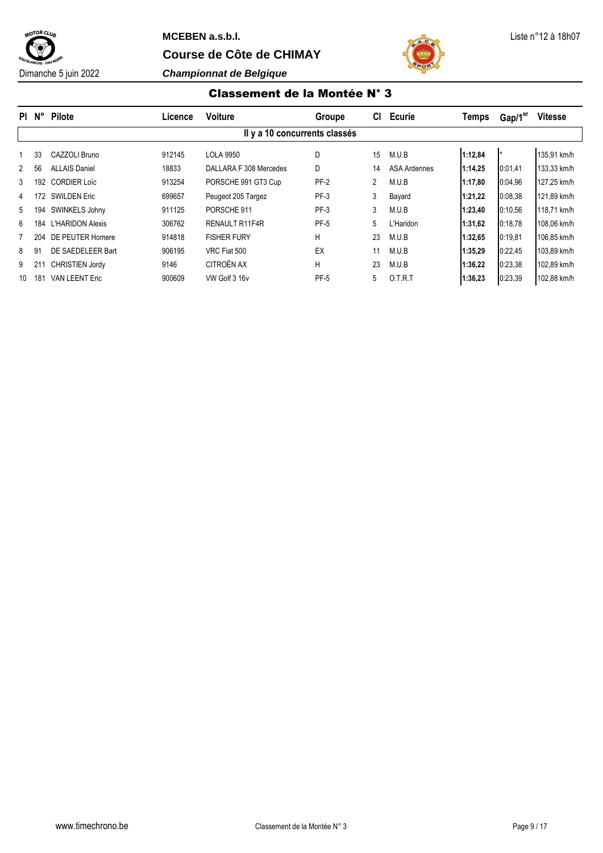



#### Classement de la Montée N° 3

| PI.           | $N^{\circ}$ | <b>Pilote</b>           | Licence | <b>Voiture</b>                | Groupe | CI. | <b>Ecurie</b>       | Temps   | Gap/1 <sup>er</sup> | <b>Vitesse</b> |
|---------------|-------------|-------------------------|---------|-------------------------------|--------|-----|---------------------|---------|---------------------|----------------|
|               |             |                         |         | Il y a 10 concurrents classés |        |     |                     |         |                     |                |
|               | 33          | CAZZOLI Bruno           | 912145  | LOLA 9950                     | D      | 15  | M.U.B               | 1:12,84 |                     | 135,91 km/h    |
| $\mathcal{P}$ | 56          | <b>ALLAIS Daniel</b>    | 18833   | DALLARA F 308 Mercedes        | D      | 14  | <b>ASA Ardennes</b> | 1:14,25 | 0:01.41             | 133.33 km/h    |
| 3             | 192         | <b>CORDIER Loïc</b>     | 913254  | PORSCHE 991 GT3 Cup           | $PF-2$ | 2   | M.U.B               | 1:17,80 | 0:04.96             | 127,25 km/h    |
| 4             | 172         | <b>SWILDEN Eric</b>     | 699657  | Peugeot 205 Targez            | PF-3   | 3   | Bayard              | 1:21.22 | 0:08.38             | 121,89 km/h    |
| 5             | 194         | SWINKELS Johny          | 911125  | PORSCHE 911                   | PF-3   | 3   | M.U.B               | 1:23,40 | 0:10,56             | 118.71 km/h    |
| 6             | 184         | <b>L'HARIDON Alexis</b> | 306762  | <b>RENAULT R11F4R</b>         | PF-5   | 5   | L'Haridon           | 1:31,62 | 0:18.78             | 108,06 km/h    |
|               | 204         | DE PEUTER Homere        | 914818  | <b>FISHER FURY</b>            | Н      | 23  | M.U.B               | 1:32,65 | 0:19,81             | 106,85 km/h    |
| 8             | 91          | DE SAEDELEER Bart       | 906195  | VRC Fiat 500                  | EX     | 11  | M.U.B               | 1:35,29 | 0:22.45             | 103.89 km/h    |
| 9             |             | <b>CHRISTIEN Jordy</b>  | 9146    | CITROËN AX                    | Н      | 23  | M.U.B               | 1:36,22 | 0:23,38             | 102,89 km/h    |
| 10            | 181         | <b>VAN LEENT Eric</b>   | 900609  | VW Golf 3 16v                 | PF-5   | 5   | O.T.R.T             | 1:36.23 | 0:23.39             | 102.88 km/h    |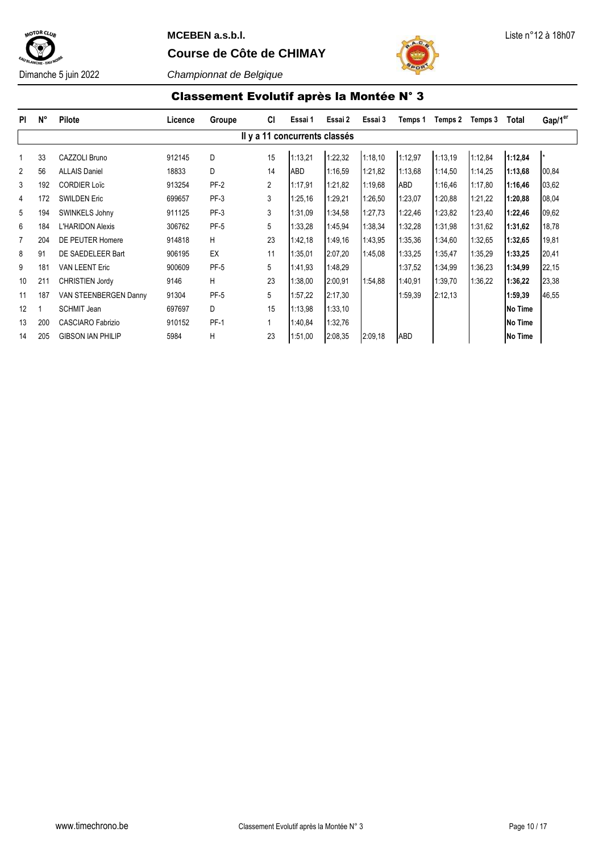

## **MCEBEN a.s.b.l.** Liste n°12 à 18h07

**Course de Côte de CHIMAY**



Classement Evolutif après la Montée N° 3

| <b>PI</b>      | $N^{\circ}$ | <b>Pilote</b>            | Licence | Groupe      | <b>CI</b>      | Essai 1                       | Essai 2 | Essai 3 | Temps 1 | Temps 2 | Temps 3 | Total          | Gap/1 <sup>er</sup> |
|----------------|-------------|--------------------------|---------|-------------|----------------|-------------------------------|---------|---------|---------|---------|---------|----------------|---------------------|
|                |             |                          |         |             |                | Il y a 11 concurrents classés |         |         |         |         |         |                |                     |
| 1              | 33          | CAZZOLI Bruno            | 912145  | D           | 15             | 1:13,21                       | 1:22,32 | 1:18,10 | 1:12,97 | 1:13.19 | 1:12,84 | 1:12,84        |                     |
| 2              | 56          | <b>ALLAIS Daniel</b>     | 18833   | D           | 14             | ABD                           | 1:16.59 | 1:21,82 | 1:13,68 | 1:14,50 | 1:14,25 | 1:13,68        | 00,84               |
| 3              | 192         | <b>CORDIER Loïc</b>      | 913254  | $PF-2$      | $\overline{2}$ | 1:17.91                       | 1:21,82 | 1:19,68 | ABD     | 1:16,46 | 1:17,80 | 1:16,46        | 03,62               |
| 4              | 172         | <b>SWILDEN Eric</b>      | 699657  | $PF-3$      | 3              | 1:25,16                       | 1:29,21 | 1:26,50 | 1:23,07 | 1:20,88 | 1:21,22 | 1:20,88        | 08,04               |
| 5              | 194         | SWINKELS Johny           | 911125  | $PF-3$      | 3              | 1:31,09                       | 1:34,58 | 1:27.73 | 1:22,46 | 1:23,82 | 1:23,40 | 1:22,46        | 09,62               |
| 6              | 184         | <b>L'HARIDON Alexis</b>  | 306762  | <b>PF-5</b> | 5              | 1:33,28                       | 1:45.94 | 1:38,34 | 1:32,28 | 1:31,98 | 1:31,62 | 1:31,62        | 18,78               |
| $\overline{7}$ | 204         | DE PEUTER Homere         | 914818  | H.          | 23             | 1:42,18                       | 1:49.16 | 1:43.95 | 1:35,36 | 1:34,60 | 1:32,65 | 1:32,65        | 19,81               |
| 8              | 91          | DE SAEDELEER Bart        | 906195  | EX          | 11             | 1:35.01                       | 2:07,20 | 1:45.08 | 1:33,25 | 1:35.47 | 1:35,29 | 1:33,25        | 20,41               |
| 9              | 181         | <b>VAN LEENT Eric</b>    | 900609  | PF-5        | 5              | 1:41,93                       | 1:48,29 |         | 1:37,52 | 1:34,99 | 1:36,23 | 1:34,99        | 22,15               |
| 10             | 211         | <b>CHRISTIEN Jordy</b>   | 9146    | H.          | 23             | 1:38,00                       | 2:00,91 | 1:54,88 | 1:40.91 | 1:39,70 | 1:36,22 | 1:36,22        | 23,38               |
| 11             | 187         | VAN STEENBERGEN Danny    | 91304   | $PF-5$      | 5              | 1:57,22                       | 2:17,30 |         | 1:59,39 | 2:12,13 |         | 1:59,39        | 46,55               |
| 12             |             | <b>SCHMIT Jean</b>       | 697697  | D           | 15             | 1:13,98                       | 1:33,10 |         |         |         |         | <b>No Time</b> |                     |
| 13             | 200         | <b>CASCIARO Fabrizio</b> | 910152  | <b>PF-1</b> | 1              | 1:40,84                       | 1:32,76 |         |         |         |         | <b>No Time</b> |                     |
| 14             | 205         | <b>GIBSON IAN PHILIP</b> | 5984    | H.          | 23             | 1:51,00                       | 2:08,35 | 2:09,18 | ABD     |         |         | <b>No Time</b> |                     |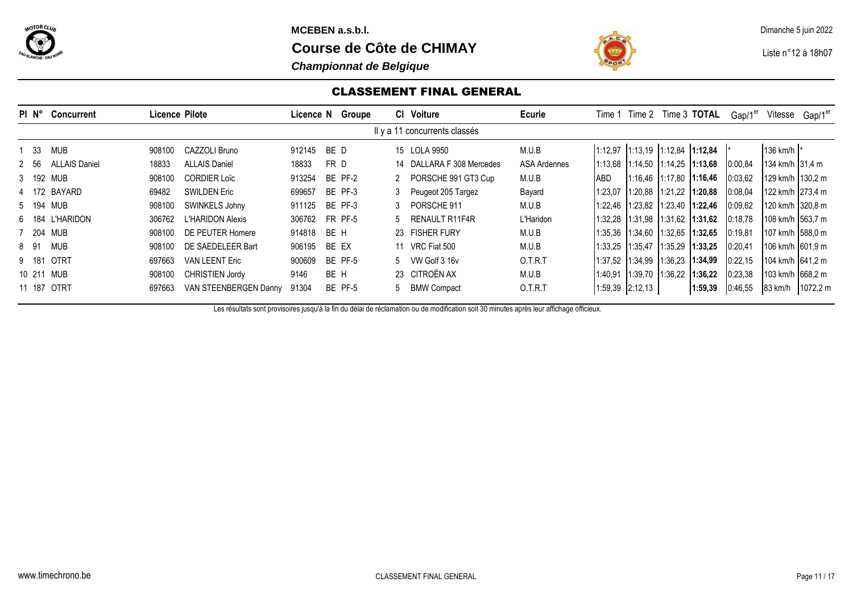

**MCEBEN a.s.b.l.** Dimanche 5 juin 2022

**Course de Côte de CHIMAY Liste n°12 à 18h07** 

## *Championnat de Belgique*



## CLASSEMENT FINAL GENERAL

| PIN°  | <b>Concurrent</b>    |        | Licence Pilote           |        | Licence N Groupe | CI Voiture                    | Ecurie       |            |                                   |         | Time 1 Time 2 Time 3 TOTAL              | Gap/1 <sup>er</sup> | Vitesse           | Gap/1 <sup>er</sup> |
|-------|----------------------|--------|--------------------------|--------|------------------|-------------------------------|--------------|------------|-----------------------------------|---------|-----------------------------------------|---------------------|-------------------|---------------------|
|       |                      |        |                          |        |                  | Il y a 11 concurrents classés |              |            |                                   |         |                                         |                     |                   |                     |
| - 33  | MUB                  | 908100 | CAZZOLI Bruno            | 912145 | BE D             | 15 LOLA 9950                  | M.U.B        |            | $1:12,97$ 1:13,19 1:12,84 1:12,84 |         |                                         |                     | 136 km/h  *       |                     |
| 2 56  | <b>ALLAIS Daniel</b> | 18833  | <b>ALLAIS Daniel</b>     | 18833  | FR D             | 14 DALLARA F 308 Mercedes     | ASA Ardennes |            |                                   |         | $1:13,68$   1:14,50   1:14,25   1:13,68 | 0:00,84             | 134 km/h 131.4 m  |                     |
|       | 3 192 MUB            | 908100 | <b>CORDIER Loïc</b>      | 913254 | BE PF-2          | 2 PORSCHE 991 GT3 Cup         | M.U.B        | <b>ABD</b> |                                   |         | 1:16.46 11:17.80 11:16,46               | 0:03.62             | 129 km/h 1130.2 m |                     |
|       | 4 172 BAYARD         | 69482  | <b>SWILDEN Eric</b>      | 699657 | BE PF-3          | 3 Peugeot 205 Targez          | Bayard       | 1:23,07    | $1:20,88$   1:21,22   1:20,88     |         |                                         | 0:08,04             | 122 km/h 273.4 m  |                     |
|       | 5 194 MUB            | 908100 | SWINKELS Johny           | 911125 | BE PF-3          | 3 PORSCHE 911                 | M.U.B        |            |                                   |         |                                         | 0:09,62             | 120 km/h 320,8 m  |                     |
| 6 184 | L'HARIDON            | 306762 | <b>I 'HARIDON Alexis</b> | 306762 | FR PF-5          | 5 RENAULT R11F4R              | L'Haridon    | 1:32.28    | $1:31.98$ 1:31.62 1:31.62         |         |                                         | 0:18.78             | 108 km/h 1563.7 m |                     |
|       | 7 204 MUB            | 908100 | DE PEUTER Homere         | 914818 | BE H             | 23 FISHER FURY                | M.U.B        |            | 1:35,36 1:34,60 1:32,65           |         | 1:32.65                                 | 0:19.81             | 107 km/h 588,0 m  |                     |
| 8 91  | <b>MUB</b>           | 908100 | DE SAEDELEER Bart        | 906195 | BE EX            | 11 VRC Fiat 500               | M.U.B        |            | 1:33,25 1:35,47 1:35,29           |         | 1:33,25                                 | 0:20.41             | 106 km/h 601.9 m  |                     |
| 9 181 | <b>OTRT</b>          | 697663 | <b>VAN LEENT Eric</b>    | 900609 | BE PF-5          | 5 VW Golf 3 16v               | O.T.R.T      | 1:37,52    | 1:34,99                           | 1:36,23 | 1:34.99                                 | 0:22,15             | 104 km/h 1641.2 m |                     |
|       | 10 211 MUB           | 908100 | <b>CHRISTIEN Jordy</b>   | 9146   | BE H             | 23 CITROËN AX                 | M.U.B        | 1:40.91    | 1:39,70 1:36,22                   |         | 1:36,22                                 | 0:23,38             | 103 km/h 1668.2 m |                     |
|       | 11 187 OTRT          | 697663 | VAN STEENBERGEN Danny    | 91304  | BE PF-5          | 5 BMW Compact                 | O.T.R.T      |            | 1:59,39 2:12,13                   |         | 1:59.39                                 | 0:46,55             | 83 km/h           | 1072,2 m            |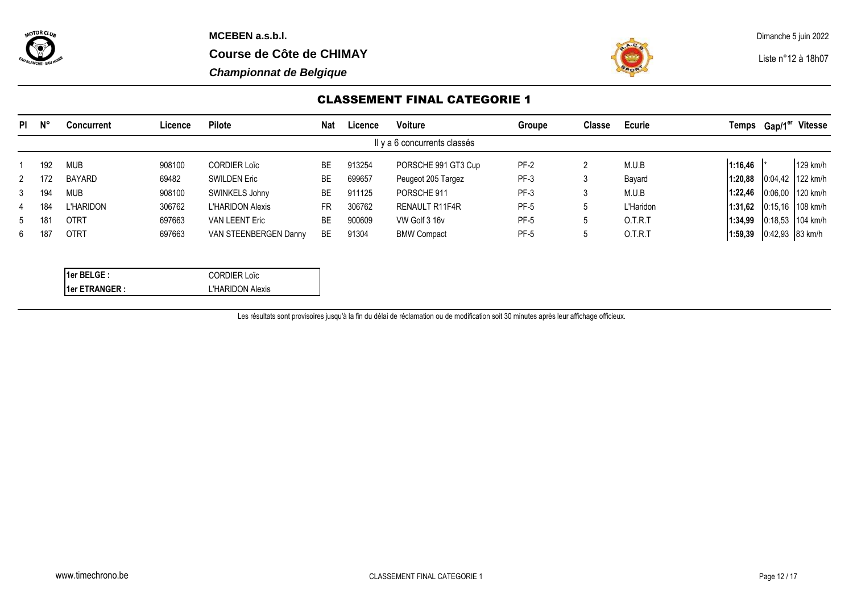



## CLASSEMENT FINAL CATEGORIE 1

| PI.         | <b>N°</b> | Concurrent    | ∟icence | <b>Pilote</b>           | <b>Nat</b> | Licence | Voiture                      | Groupe      | Classe | Ecurie    | Temps   | ${\sf Gap/1}^{\sf er}$ | <b>Vitesse</b>     |
|-------------|-----------|---------------|---------|-------------------------|------------|---------|------------------------------|-------------|--------|-----------|---------|------------------------|--------------------|
|             |           |               |         |                         |            |         | Il y a 6 concurrents classés |             |        |           |         |                        |                    |
|             | 192       | <b>MUB</b>    | 908100  | <b>CORDIER Loïc</b>     | <b>BE</b>  | 913254  | PORSCHE 991 GT3 Cup          | PF-2        |        | M.U.B     | 1:16,46 |                        | $129$ km/h         |
| 2           | 172       | <b>BAYARD</b> | 69482   | <b>SWILDEN Eric</b>     | ВE         | 699657  | Peugeot 205 Targez           | PF-3        | 3      | Bayard    | 1:20,88 |                        | 0:04,42 122 km/h   |
| 3           | 194       | <b>MUB</b>    | 908100  | SWINKELS Johny          | BE         | 911125  | PORSCHE 911                  | PF-3        | 3      | M.U.B     | 1:22.46 |                        | 0:06.00 120 km/h   |
| 4           | 184       | L'HARIDON     | 306762  | <b>L'HARIDON Alexis</b> | FR         | 306762  | RENAULT R11F4R               | <b>PF-5</b> |        | L'Haridon | 1:31.62 |                        | $0:15.16$ 108 km/h |
| $5^{\circ}$ | 18        | <b>OTRT</b>   | 697663  | <b>VAN LEENT Eric</b>   | ВE         | 900609  | VW Golf 3 16v                | <b>PF-5</b> |        | O.T.R.T   | 1:34,99 |                        | $0:18.53$ 104 km/h |
| 6           | 181       | <b>OTRT</b>   | 697663  | VAN STEENBERGEN Danny   | <b>BE</b>  | 91304   | <b>BMW Compact</b>           | <b>PF-5</b> | Ć      | O.T.R.T   | 1:59.39 | 0:42,93 83 km/h        |                    |

| l1er BELGE :          | <b>CORDIER Loïc</b>     |
|-----------------------|-------------------------|
| <b>Ider ETRANGER:</b> | <b>L'HARIDON Alexis</b> |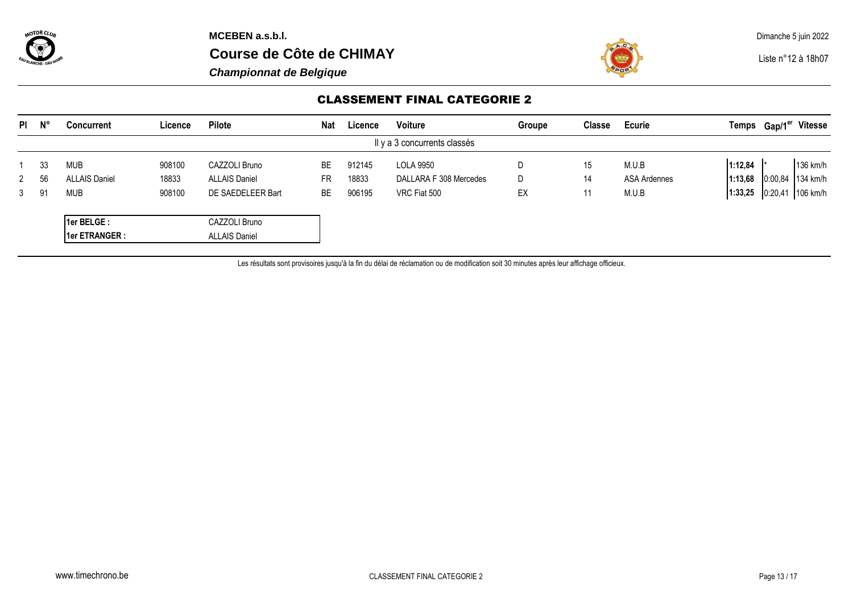

**Course de Côte de CHIMAY Liste n°12 à 18h07** 

*Championnat de Belgique*



## CLASSEMENT FINAL CATEGORIE 2

| $PI$ $N^{\circ}$             |    | <b>Concurrent</b>    | Licence | Pilote                  | <b>Nat</b> | Licence | <b>Voiture</b>         | Groupe | <b>Classe</b> | Ecurie       |         | Temps Gap/1 <sup>er</sup> Vitesse |
|------------------------------|----|----------------------|---------|-------------------------|------------|---------|------------------------|--------|---------------|--------------|---------|-----------------------------------|
| Il y a 3 concurrents classés |    |                      |         |                         |            |         |                        |        |               |              |         |                                   |
|                              | 33 | <b>MUB</b>           | 908100  | CAZZOLI Bruno           | BE         | 912145  | <b>LOLA 9950</b>       | D      | 15            | M.U.B        | 1:12,84 | 136 km/h                          |
| 2                            | 56 | <b>ALLAIS Daniel</b> | 18833   | <b>ALLAIS Daniel</b>    | <b>FR</b>  | 18833   | DALLARA F 308 Mercedes | D      | 14            | ASA Ardennes | 1:13,68 | $0:00,84$ 134 km/h                |
| 3                            | 91 | <b>MUB</b>           | 908100  | DE SAEDELEER Bart<br>BE |            | 906195  | VRC Fiat 500           | EX     | 11            | M.U.B        | 1:33,25 | 0:20,41 106 km/h                  |
|                              |    | 1er BELGE:           |         | CAZZOLI Bruno           |            |         |                        |        |               |              |         |                                   |
|                              |    | 1er ETRANGER :       |         | <b>ALLAIS Daniel</b>    |            |         |                        |        |               |              |         |                                   |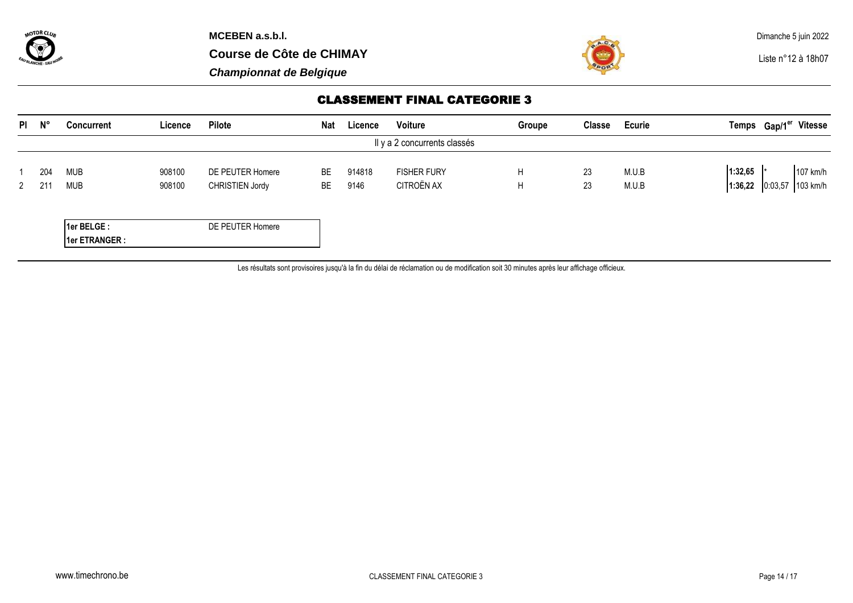



# CLASSEMENT FINAL CATEGORIE 3

|                              | $PI$ $N^{\circ}$ | <b>Concurrent</b>            | Licence          | <b>Pilote</b>                       | <b>Nat</b> | Licence        | Voiture                          | Groupe | <b>Classe</b> | <b>Ecurie</b>  |                    | Temps Gap/1 <sup>er</sup> Vitesse |          |
|------------------------------|------------------|------------------------------|------------------|-------------------------------------|------------|----------------|----------------------------------|--------|---------------|----------------|--------------------|-----------------------------------|----------|
| Il y a 2 concurrents classés |                  |                              |                  |                                     |            |                |                                  |        |               |                |                    |                                   |          |
| 2                            | 204              | <b>MUB</b><br><b>MUB</b>     | 908100<br>908100 | DE PEUTER Homere<br>CHRISTIEN Jordy | BE<br>BE   | 914818<br>9146 | <b>FISHER FURY</b><br>CITROËN AX | H<br>H | 23<br>23      | M.U.B<br>M.U.B | 1:32,65<br>1:36,22 | 0:03,57 103 km/h                  | 107 km/h |
|                              |                  | 1er BELGE:<br>1er ETRANGER : |                  | DE PEUTER Homere                    |            |                |                                  |        |               |                |                    |                                   |          |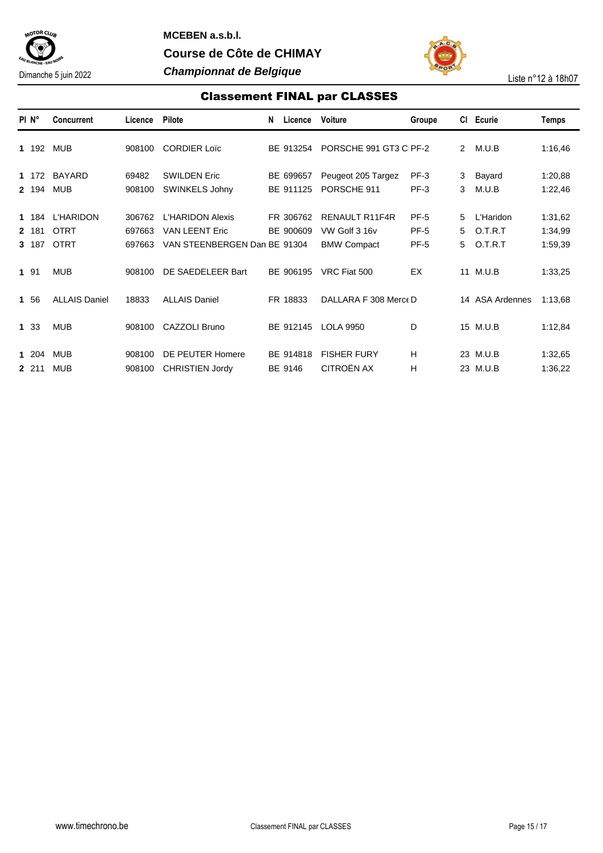

**MCEBEN a.s.b.l. Course de Côte de CHIMAY** Dimanche 5 juin 2022 *Championnat de Belgique* Liste n°12 à 18h07



# Classement FINAL par CLASSES

| PI <sub>N°</sub>        | <b>Concurrent</b>                              | Licence                    | Pilote                                                                           | N | Licence                | Voiture                                                      | Groupe                 | CI.            | Ecurie                          | Temps                         |
|-------------------------|------------------------------------------------|----------------------------|----------------------------------------------------------------------------------|---|------------------------|--------------------------------------------------------------|------------------------|----------------|---------------------------------|-------------------------------|
| 1 192                   | <b>MUB</b>                                     | 908100                     | <b>CORDIER Loïc</b>                                                              |   | BE 913254              | PORSCHE 991 GT3 C <sub>PF-2</sub>                            |                        | $\overline{2}$ | M.U.B                           | 1:16,46                       |
| 1 172<br>2 194          | <b>BAYARD</b><br><b>MUB</b>                    | 69482<br>908100            | <b>SWILDEN Eric</b><br>SWINKELS Johny                                            |   | BE 699657<br>BE 911125 | Peugeot 205 Targez<br>PORSCHE 911                            | $PF-3$<br>$PF-3$       | 3<br>3         | Bayard<br>M.U.B                 | 1:20,88<br>1:22,46            |
| 1 184<br>2 181<br>3 187 | <b>L'HARIDON</b><br><b>OTRT</b><br><b>OTRT</b> | 306762<br>697663<br>697663 | <b>L'HARIDON Alexis</b><br><b>VAN LEENT Eric</b><br>VAN STEENBERGEN Dan BE 91304 |   | FR 306762<br>BE 900609 | <b>RENAULT R11F4R</b><br>VW Golf 3 16v<br><b>BMW Compact</b> | PF-5<br>PF-5<br>$PF-5$ | 5<br>5<br>5    | L'Haridon<br>O.T.R.T<br>O.T.R.T | 1:31,62<br>1:34,99<br>1:59,39 |
| 1 91                    | <b>MUB</b>                                     | 908100                     | DE SAEDELEER Bart                                                                |   | BE 906195              | VRC Fiat 500                                                 | EX                     |                | 11 M.U.B                        | 1:33,25                       |
| 1 56                    | <b>ALLAIS Daniel</b>                           | 18833                      | <b>ALLAIS Daniel</b>                                                             |   | FR 18833               | DALLARA F 308 Merce D                                        |                        |                | 14 ASA Ardennes                 | 1:13,68                       |
| 1 33                    | <b>MUB</b>                                     | 908100                     | CAZZOLI Bruno                                                                    |   | BE 912145              | <b>LOLA 9950</b>                                             | D                      |                | 15 M.U.B                        | 1:12,84                       |
| 1 204<br>2 211          | <b>MUB</b><br><b>MUB</b>                       | 908100<br>908100           | DE PEUTER Homere<br><b>CHRISTIEN Jordy</b>                                       |   | BE 914818<br>BE 9146   | <b>FISHER FURY</b><br>CITROËN AX                             | Н<br>н                 |                | 23 M.U.B<br>23 M.U.B            | 1:32,65<br>1:36,22            |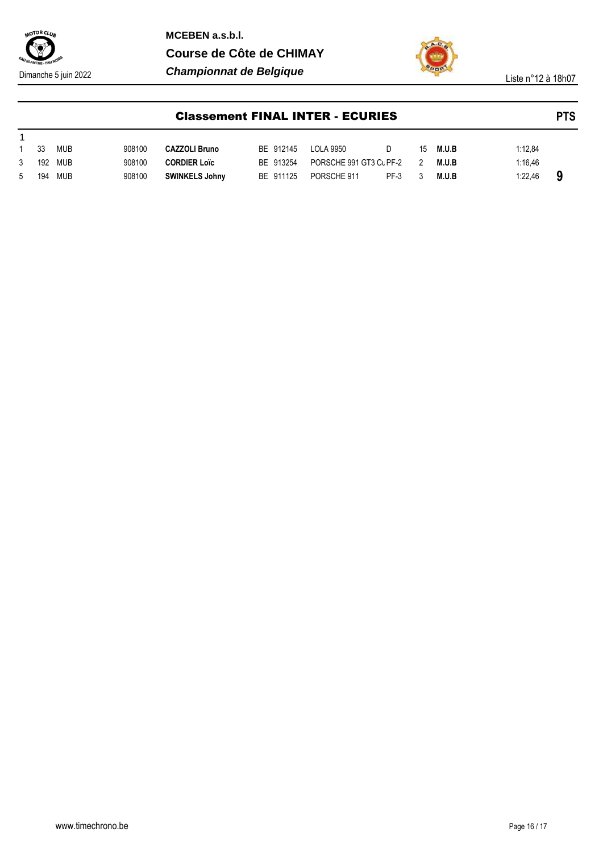

**MCEBEN a.s.b.l. Course de Côte de CHIMAY** Dimanche 5 juin 2022 *Championnat de Belgique* Liste n°12 à 18h07



|   | <b>Classement FINAL INTER - ECURIES</b> |            |        |                       |  |           |                         |        |               |       |         | <b>PTS</b> |
|---|-----------------------------------------|------------|--------|-----------------------|--|-----------|-------------------------|--------|---------------|-------|---------|------------|
|   |                                         |            |        |                       |  |           |                         |        |               |       |         |            |
|   | 33                                      | <b>MUB</b> | 908100 | <b>CAZZOLI Bruno</b>  |  | BE 912145 | LOLA 9950               | D      | 15            | M.U.B | 1:12.84 |            |
| 3 | 192                                     | MUB        | 908100 | <b>CORDIER Loïc</b>   |  | BF 913254 | PORSCHE 991 GT3 CL PF-2 |        | $\mathcal{P}$ | M.U.B | 1:16.46 |            |
| 5 | 194                                     | MUB        | 908100 | <b>SWINKELS Johny</b> |  | BE 911125 | PORSCHE 911             | $PF-3$ |               | M.U.B | 1:22.46 | 9          |